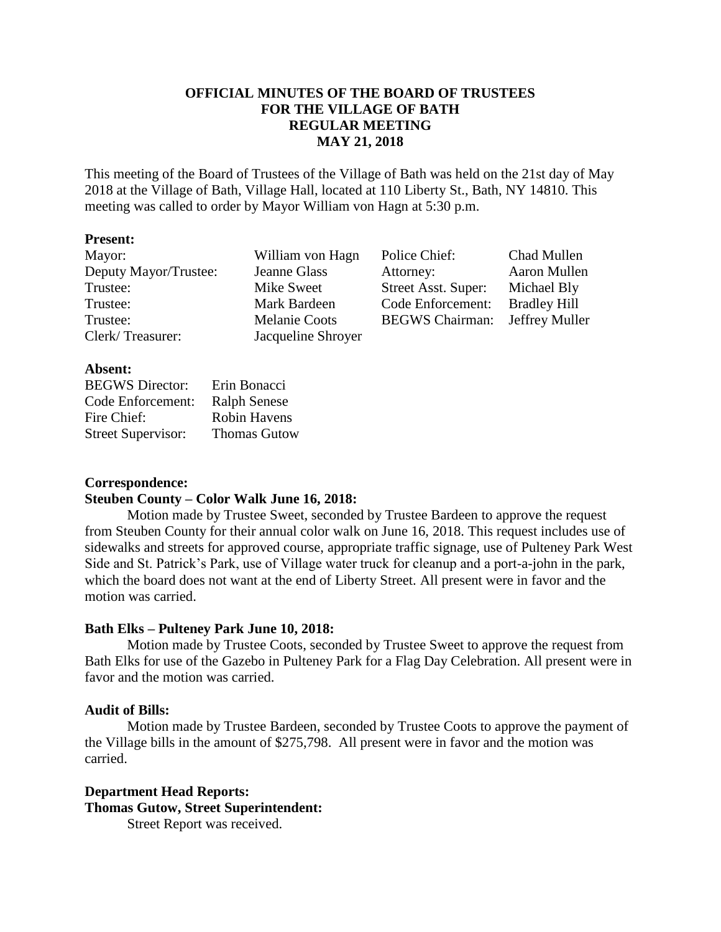# **OFFICIAL MINUTES OF THE BOARD OF TRUSTEES FOR THE VILLAGE OF BATH REGULAR MEETING MAY 21, 2018**

This meeting of the Board of Trustees of the Village of Bath was held on the 21st day of May 2018 at the Village of Bath, Village Hall, located at 110 Liberty St., Bath, NY 14810. This meeting was called to order by Mayor William von Hagn at 5:30 p.m.

### **Present:**

| Mayor:                | William von Hagn     | Police Chief:                         | Chad Mullen         |
|-----------------------|----------------------|---------------------------------------|---------------------|
| Deputy Mayor/Trustee: | Jeanne Glass         | Attorney:                             | Aaron Mullen        |
| Trustee:              | Mike Sweet           | Street Asst. Super:                   | Michael Bly         |
| Trustee:              | Mark Bardeen         | Code Enforcement:                     | <b>Bradley Hill</b> |
| Trustee:              | <b>Melanie Coots</b> | <b>BEGWS Chairman:</b> Jeffrey Muller |                     |
| Clerk/Treasurer:      | Jacqueline Shroyer   |                                       |                     |

### **Absent:**

| <b>BEGWS</b> Director:    | Erin Bonacci        |
|---------------------------|---------------------|
| Code Enforcement:         | <b>Ralph Senese</b> |
| Fire Chief:               | <b>Robin Havens</b> |
| <b>Street Supervisor:</b> | <b>Thomas Gutow</b> |

### **Correspondence:**

### **Steuben County – Color Walk June 16, 2018:**

Motion made by Trustee Sweet, seconded by Trustee Bardeen to approve the request from Steuben County for their annual color walk on June 16, 2018. This request includes use of sidewalks and streets for approved course, appropriate traffic signage, use of Pulteney Park West Side and St. Patrick's Park, use of Village water truck for cleanup and a port-a-john in the park, which the board does not want at the end of Liberty Street. All present were in favor and the motion was carried.

### **Bath Elks – Pulteney Park June 10, 2018:**

Motion made by Trustee Coots, seconded by Trustee Sweet to approve the request from Bath Elks for use of the Gazebo in Pulteney Park for a Flag Day Celebration. All present were in favor and the motion was carried.

### **Audit of Bills:**

Motion made by Trustee Bardeen, seconded by Trustee Coots to approve the payment of the Village bills in the amount of \$275,798. All present were in favor and the motion was carried.

# **Department Head Reports: Thomas Gutow, Street Superintendent:**

Street Report was received.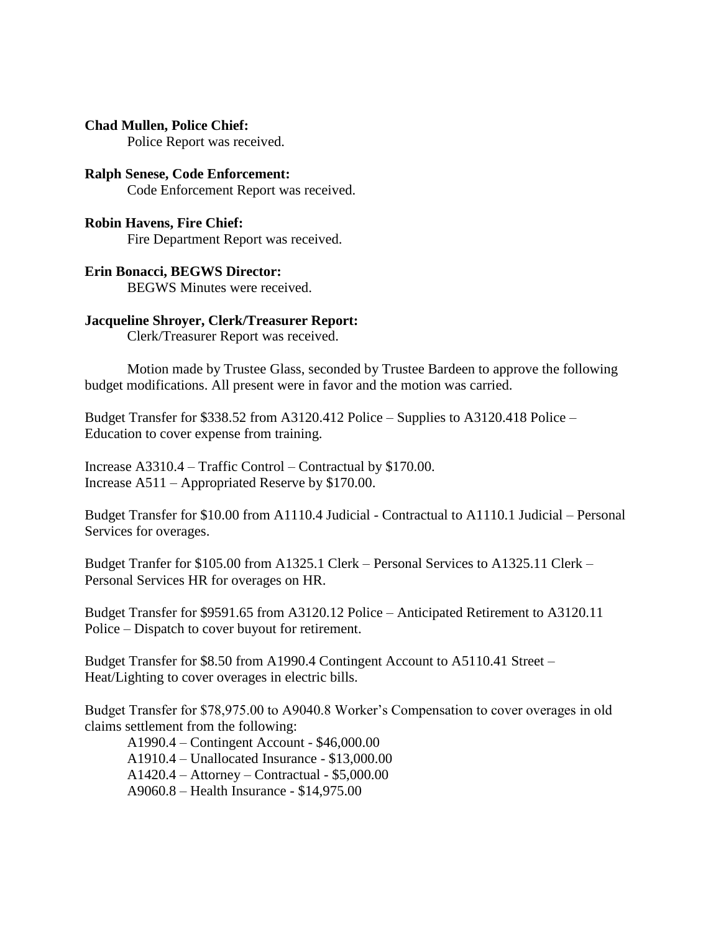**Chad Mullen, Police Chief:**

Police Report was received.

**Ralph Senese, Code Enforcement:** Code Enforcement Report was received.

**Robin Havens, Fire Chief:** Fire Department Report was received.

### **Erin Bonacci, BEGWS Director:**

BEGWS Minutes were received.

### **Jacqueline Shroyer, Clerk/Treasurer Report:**

Clerk/Treasurer Report was received.

Motion made by Trustee Glass, seconded by Trustee Bardeen to approve the following budget modifications. All present were in favor and the motion was carried.

Budget Transfer for \$338.52 from A3120.412 Police – Supplies to A3120.418 Police – Education to cover expense from training.

Increase A3310.4 – Traffic Control – Contractual by \$170.00. Increase A511 – Appropriated Reserve by \$170.00.

Budget Transfer for \$10.00 from A1110.4 Judicial - Contractual to A1110.1 Judicial – Personal Services for overages.

Budget Tranfer for \$105.00 from A1325.1 Clerk – Personal Services to A1325.11 Clerk – Personal Services HR for overages on HR.

Budget Transfer for \$9591.65 from A3120.12 Police – Anticipated Retirement to A3120.11 Police – Dispatch to cover buyout for retirement.

Budget Transfer for \$8.50 from A1990.4 Contingent Account to A5110.41 Street – Heat/Lighting to cover overages in electric bills.

Budget Transfer for \$78,975.00 to A9040.8 Worker's Compensation to cover overages in old claims settlement from the following:

A1990.4 – Contingent Account - \$46,000.00 A1910.4 – Unallocated Insurance - \$13,000.00 A1420.4 – Attorney – Contractual - \$5,000.00 A9060.8 – Health Insurance - \$14,975.00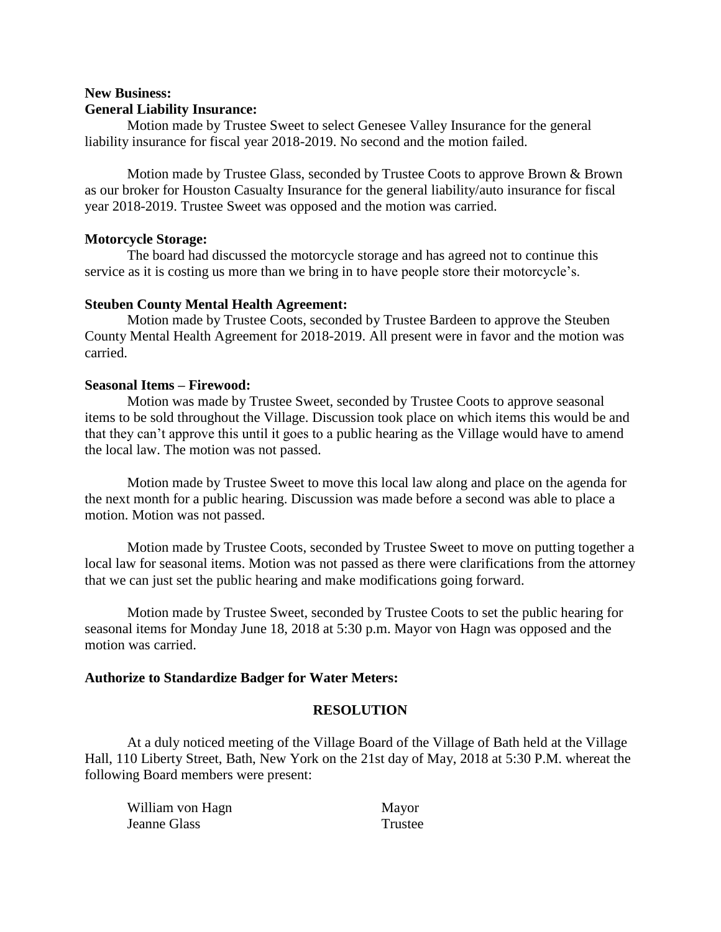# **New Business: General Liability Insurance:**

Motion made by Trustee Sweet to select Genesee Valley Insurance for the general liability insurance for fiscal year 2018-2019. No second and the motion failed.

Motion made by Trustee Glass, seconded by Trustee Coots to approve Brown & Brown as our broker for Houston Casualty Insurance for the general liability/auto insurance for fiscal year 2018-2019. Trustee Sweet was opposed and the motion was carried.

### **Motorcycle Storage:**

The board had discussed the motorcycle storage and has agreed not to continue this service as it is costing us more than we bring in to have people store their motorcycle's.

# **Steuben County Mental Health Agreement:**

Motion made by Trustee Coots, seconded by Trustee Bardeen to approve the Steuben County Mental Health Agreement for 2018-2019. All present were in favor and the motion was carried.

# **Seasonal Items – Firewood:**

Motion was made by Trustee Sweet, seconded by Trustee Coots to approve seasonal items to be sold throughout the Village. Discussion took place on which items this would be and that they can't approve this until it goes to a public hearing as the Village would have to amend the local law. The motion was not passed.

Motion made by Trustee Sweet to move this local law along and place on the agenda for the next month for a public hearing. Discussion was made before a second was able to place a motion. Motion was not passed.

Motion made by Trustee Coots, seconded by Trustee Sweet to move on putting together a local law for seasonal items. Motion was not passed as there were clarifications from the attorney that we can just set the public hearing and make modifications going forward.

Motion made by Trustee Sweet, seconded by Trustee Coots to set the public hearing for seasonal items for Monday June 18, 2018 at 5:30 p.m. Mayor von Hagn was opposed and the motion was carried.

### **Authorize to Standardize Badger for Water Meters:**

### **RESOLUTION**

At a duly noticed meeting of the Village Board of the Village of Bath held at the Village Hall, 110 Liberty Street, Bath, New York on the 21st day of May, 2018 at 5:30 P.M. whereat the following Board members were present:

| William von Hagn | Mayor   |
|------------------|---------|
| Jeanne Glass     | Trustee |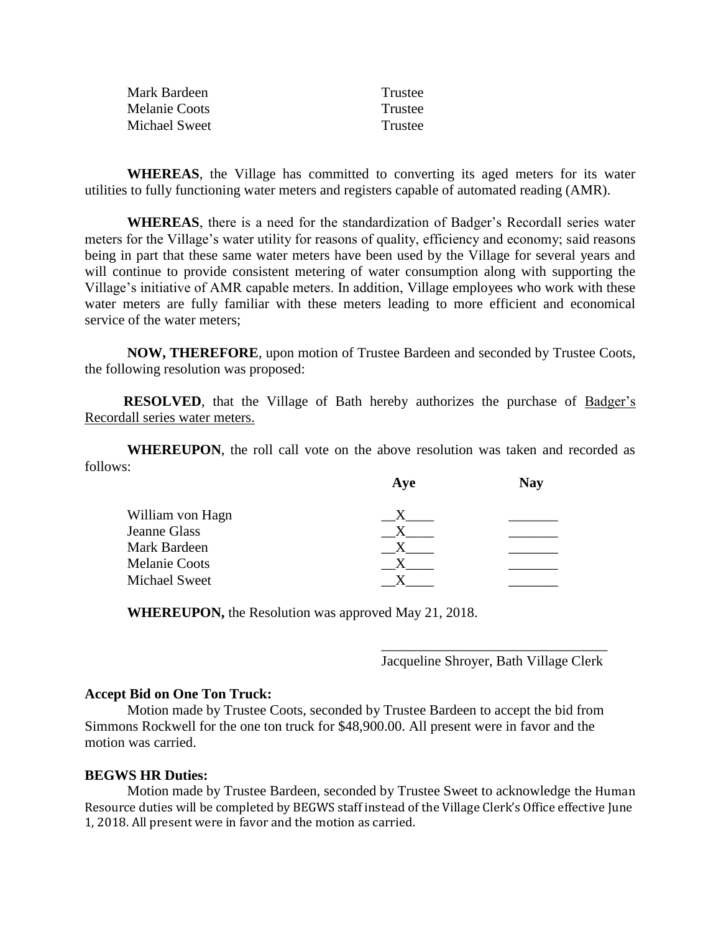| Mark Bardeen  | Trustee |
|---------------|---------|
| Melanie Coots | Trustee |
| Michael Sweet | Trustee |

**WHEREAS**, the Village has committed to converting its aged meters for its water utilities to fully functioning water meters and registers capable of automated reading (AMR).

**WHEREAS**, there is a need for the standardization of Badger's Recordall series water meters for the Village's water utility for reasons of quality, efficiency and economy; said reasons being in part that these same water meters have been used by the Village for several years and will continue to provide consistent metering of water consumption along with supporting the Village's initiative of AMR capable meters. In addition, Village employees who work with these water meters are fully familiar with these meters leading to more efficient and economical service of the water meters;

**NOW, THEREFORE**, upon motion of Trustee Bardeen and seconded by Trustee Coots, the following resolution was proposed:

**RESOLVED**, that the Village of Bath hereby authorizes the purchase of Badger's Recordall series water meters.

**WHEREUPON**, the roll call vote on the above resolution was taken and recorded as follows:

|                      | Aye | <b>Nay</b> |
|----------------------|-----|------------|
| William von Hagn     |     |            |
| <b>Jeanne Glass</b>  |     |            |
| Mark Bardeen         |     |            |
| <b>Melanie Coots</b> |     |            |
| Michael Sweet        |     |            |
|                      |     |            |

**WHEREUPON,** the Resolution was approved May 21, 2018.

\_\_\_\_\_\_\_\_\_\_\_\_\_\_\_\_\_\_\_\_\_\_\_\_\_\_\_\_\_\_\_\_ Jacqueline Shroyer, Bath Village Clerk

### **Accept Bid on One Ton Truck:**

Motion made by Trustee Coots, seconded by Trustee Bardeen to accept the bid from Simmons Rockwell for the one ton truck for \$48,900.00. All present were in favor and the motion was carried.

#### **BEGWS HR Duties:**

Motion made by Trustee Bardeen, seconded by Trustee Sweet to acknowledge the Human Resource duties will be completed by BEGWS staff instead of the Village Clerk's Office effective June 1, 2018. All present were in favor and the motion as carried.